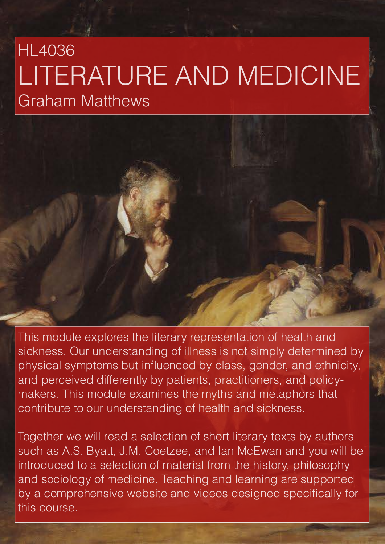# HL4036 LITERATURE AND MEDICINE Graham Matthews

This module explores the literary representation of health and sickness. Our understanding of illness is not simply determined by physical symptoms but influenced by class, gender, and ethnicity, and perceived differently by patients, practitioners, and policymakers. This module examines the myths and metaphors that contribute to our understanding of health and sickness.

Together we will read a selection of short literary texts by authors such as A.S. Byatt, J.M. Coetzee, and Ian McEwan and you will be introduced to a selection of material from the history, philosophy and sociology of medicine. Teaching and learning are supported by a comprehensive website and videos designed specifically for this course.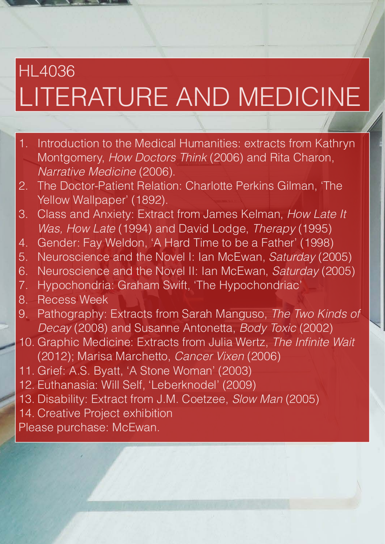# HL4036 LITERATURE AND MEDICINE

- 1. Introduction to the Medical Humanities: extracts from Kathryn Montgomery, *How Doctors Think* (2006) and Rita Charon, *Narrative Medicine* (2006).
- 2. The Doctor-Patient Relation: Charlotte Perkins Gilman, 'The Yellow Wallpaper' (1892).
- 3. Class and Anxiety: Extract from James Kelman, *How Late It Was, How Late* (1994) and David Lodge, *Therapy* (1995)
- 4. Gender: Fay Weldon, 'A Hard Time to be a Father' (1998)
- 5. Neuroscience and the Novel I: Ian McEwan, *Saturday* (2005)
- 6. Neuroscience and the Novel II: Ian McEwan, *Saturday* (2005)
- 7. Hypochondria: Graham Swift, 'The Hypochondriac'
- 8. Recess Week
- 9. Pathography: Extracts from Sarah Manguso, *The Two Kinds of Decay* (2008) and Susanne Antonetta, *Body Toxic* (2002)
- 10. Graphic Medicine: Extracts from Julia Wertz, *The Infinite Wait*  (2012); Marisa Marchetto, *Cancer Vixen* (2006)
- 11. Grief: A.S. Byatt, 'A Stone Woman' (2003)
- 12. Euthanasia: Will Self, 'Leberknodel' (2009)
- 13. Disability: Extract from J.M. Coetzee, *Slow Man* (2005)
- 14. Creative Project exhibition
- Please purchase: McEwan.